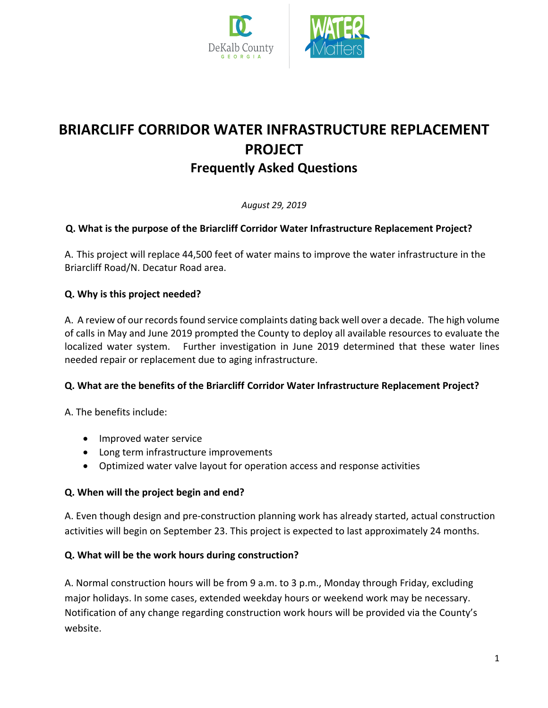



# **BRIARCLIFF CORRIDOR WATER INFRASTRUCTURE REPLACEMENT PROJECT Frequently Asked Questions**

*August 29, 2019*

# **Q. What is the purpose of the Briarcliff Corridor Water Infrastructure Replacement Project?**

A. This project will replace 44,500 feet of water mains to improve the water infrastructure in the Briarcliff Road/N. Decatur Road area.

## **Q. Why is this project needed?**

A. A review of our records found service complaints dating back well over a decade. The high volume of calls in May and June 2019 prompted the County to deploy all available resources to evaluate the localized water system. Further investigation in June 2019 determined that these water lines needed repair or replacement due to aging infrastructure.

#### **Q. What are the benefits of the Briarcliff Corridor Water Infrastructure Replacement Project?**

A. The benefits include:

- Improved water service
- Long term infrastructure improvements
- Optimized water valve layout for operation access and response activities

#### **Q. When will the project begin and end?**

A. Even though design and pre-construction planning work has already started, actual construction activities will begin on September 23. This project is expected to last approximately 24 months.

#### **Q. What will be the work hours during construction?**

A. Normal construction hours will be from 9 a.m. to 3 p.m., Monday through Friday, excluding major holidays. In some cases, extended weekday hours or weekend work may be necessary. Notification of any change regarding construction work hours will be provided via the County's website.